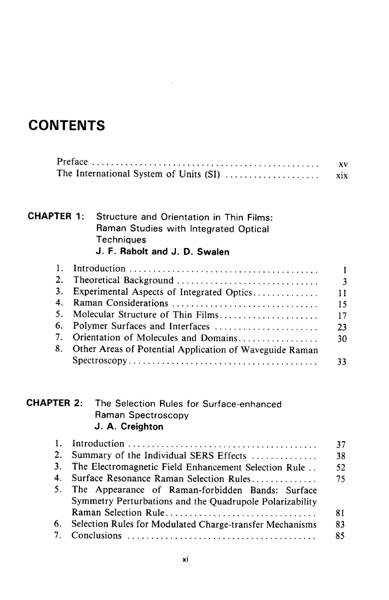## **CONTENTS**

|                                        | XV  |
|----------------------------------------|-----|
| The International System of Units (SI) | XIX |

## CHAPTER 1: Structure and Orientation in Thin Films: Raman Studies with Integrated Optical **Techniques** J. F. Rabolt and J. D. Swalen

|                |                                                         | $\mathbf{3}$ |
|----------------|---------------------------------------------------------|--------------|
| 3.             | Experimental Aspects of Integrated Optics               | 11           |
| 4.             |                                                         | 15           |
| 5.             | Molecular Structure of Thin Films                       | 17           |
|                | 6. Polymer Surfaces and Interfaces                      | 23           |
| 7 <sub>1</sub> | Orientation of Molecules and Domains                    | 30           |
| 8.             | Other Areas of Potential Application of Waveguide Raman |              |
|                |                                                         | 33           |

## **CHAPTER 2:** The Selection Rules for Surface-enhanced Raman Spectroscopy J. A. Creighton

|    |                                                          | 37 |
|----|----------------------------------------------------------|----|
| 2. | Summary of the Individual SERS Effects                   | 38 |
|    | 3. The Electromagnetic Field Enhancement Selection Rule  | 52 |
| 4. | Surface Resonance Raman Selection Rules                  | 75 |
| 5. | The Appearance of Raman-forbidden Bands: Surface         |    |
|    | Symmetry Perturbations and the Quadrupole Polarizability |    |
|    | Raman Selection Rule                                     | 81 |
| 6. | Selection Rules for Modulated Charge-transfer Mechanisms | 83 |
|    |                                                          | 85 |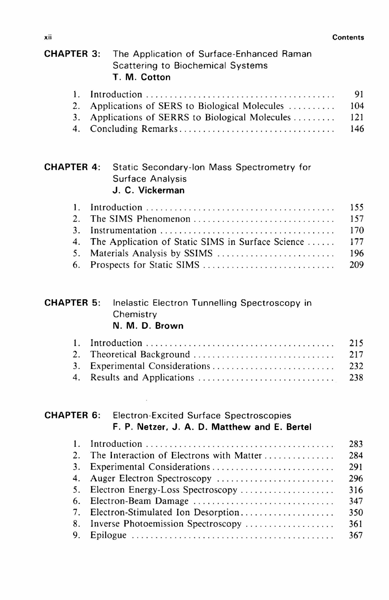| <b>CHAPTER 3:</b> | The Application of Surface-Enhanced Raman<br><b>Scattering to Biochemical Systems</b><br>T. M. Cotton |     |
|-------------------|-------------------------------------------------------------------------------------------------------|-----|
| 1.                |                                                                                                       | 91  |
| 2.                | Applications of SERS to Biological Molecules                                                          | 104 |
| 3.                | Applications of SERRS to Biological Molecules                                                         | 121 |
| 4.                | Concluding Remarks                                                                                    | 146 |
| <b>CHAPTER 4:</b> | Static Secondary-Ion Mass Spectrometry for<br>Surface Analysis<br>J. C. Vickerman                     |     |
| 1.                |                                                                                                       | 155 |
| 2.                | The SIMS Phenomenon                                                                                   | 157 |
| 3.                |                                                                                                       | 170 |
| 4.                | The Application of Static SIMS in Surface Science                                                     | 177 |
| 5.                |                                                                                                       | 196 |
| 6.                | Prospects for Static SIMS                                                                             | 209 |
| <b>CHAPTER 5:</b> | Inelastic Electron Tunnelling Spectroscopy in<br>Chemistry<br>N. M. D. Brown                          |     |
| 1.                |                                                                                                       | 215 |
| 2.                | Theoretical Background                                                                                | 217 |
| 3 <sub>1</sub>    |                                                                                                       | 232 |
| 4.                |                                                                                                       | 238 |
| <b>CHAPTER 6:</b> | <b>Electron-Excited Surface Spectroscopies</b><br>F. P. Netzer, J. A. D. Matthew and E. Bertel        |     |
| 1.                |                                                                                                       | 283 |
| 2.                | The Interaction of Electrons with Matter                                                              | 284 |
| 3.                |                                                                                                       | 291 |
| 4.                | Auger Electron Spectroscopy                                                                           | 296 |
| 5.                | Electron Energy-Loss Spectroscopy                                                                     | 316 |
| 6.                | Electron-Beam Damage                                                                                  | 347 |
| 7.                | Electron-Stimulated Ion Desorption                                                                    | 350 |
| 8.                | Inverse Photoemission Spectroscopy                                                                    | 361 |
| 9.                |                                                                                                       | 367 |